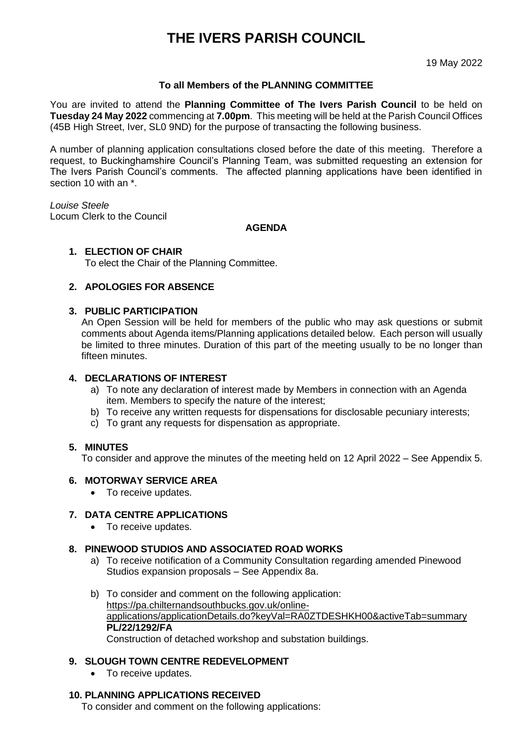# **THE IVERS PARISH COUNCIL**

19 May 2022

## **To all Members of the PLANNING COMMITTEE**

You are invited to attend the **Planning Committee of The Ivers Parish Council** to be held on **Tuesday 24 May 2022** commencing at **7.00pm**. This meeting will be held at the Parish Council Offices (45B High Street, Iver, SL0 9ND) for the purpose of transacting the following business.

A number of planning application consultations closed before the date of this meeting. Therefore a request, to Buckinghamshire Council's Planning Team, was submitted requesting an extension for The Ivers Parish Council's comments. The affected planning applications have been identified in section 10 with an \*.

*Louise Steele* Locum Clerk to the Council

**AGENDA**

#### **1. ELECTION OF CHAIR**

To elect the Chair of the Planning Committee.

#### **2. APOLOGIES FOR ABSENCE**

#### **3. PUBLIC PARTICIPATION**

An Open Session will be held for members of the public who may ask questions or submit comments about Agenda items/Planning applications detailed below. Each person will usually be limited to three minutes. Duration of this part of the meeting usually to be no longer than fifteen minutes.

#### **4. DECLARATIONS OF INTEREST**

- a) To note any declaration of interest made by Members in connection with an Agenda item. Members to specify the nature of the interest;
- b) To receive any written requests for dispensations for disclosable pecuniary interests;
- c) To grant any requests for dispensation as appropriate.

#### **5. MINUTES**

To consider and approve the minutes of the meeting held on 12 April 2022 – See Appendix 5.

#### **6. MOTORWAY SERVICE AREA**

• To receive updates.

#### **7. DATA CENTRE APPLICATIONS**

• To receive updates.

#### **8. PINEWOOD STUDIOS AND ASSOCIATED ROAD WORKS**

- a) To receive notification of a Community Consultation regarding amended Pinewood Studios expansion proposals – See Appendix 8a.
- b) To consider and comment on the following application: [https://pa.chilternandsouthbucks.gov.uk/online](https://pa.chilternandsouthbucks.gov.uk/online-applications/applicationDetails.do?keyVal=RA0ZTDESHKH00&activeTab=summary)[applications/applicationDetails.do?keyVal=RA0ZTDESHKH00&activeTab=summary](https://pa.chilternandsouthbucks.gov.uk/online-applications/applicationDetails.do?keyVal=RA0ZTDESHKH00&activeTab=summary) **PL/22/1292/FA**

Construction of detached workshop and substation buildings.

#### **9. SLOUGH TOWN CENTRE REDEVELOPMENT**

• To receive updates.

#### **10. PLANNING APPLICATIONS RECEIVED**

To consider and comment on the following applications: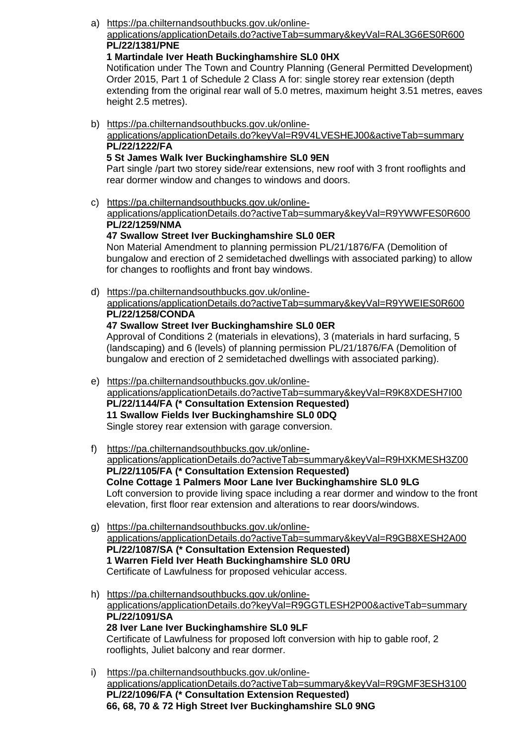a) [https://pa.chilternandsouthbucks.gov.uk/online-](https://pa.chilternandsouthbucks.gov.uk/online-applications/applicationDetails.do?activeTab=summary&keyVal=RAL3G6ES0R600)

## [applications/applicationDetails.do?activeTab=summary&keyVal=RAL3G6ES0R600](https://pa.chilternandsouthbucks.gov.uk/online-applications/applicationDetails.do?activeTab=summary&keyVal=RAL3G6ES0R600) **PL/22/1381/PNE**

**1 Martindale Iver Heath Buckinghamshire SL0 0HX**

Notification under The Town and Country Planning (General Permitted Development) Order 2015, Part 1 of Schedule 2 Class A for: single storey rear extension (depth extending from the original rear wall of 5.0 metres, maximum height 3.51 metres, eaves height 2.5 metres).

b) [https://pa.chilternandsouthbucks.gov.uk/online](https://pa.chilternandsouthbucks.gov.uk/online-applications/applicationDetails.do?keyVal=R9V4LVESHEJ00&activeTab=summary)[applications/applicationDetails.do?keyVal=R9V4LVESHEJ00&activeTab=summary](https://pa.chilternandsouthbucks.gov.uk/online-applications/applicationDetails.do?keyVal=R9V4LVESHEJ00&activeTab=summary) **PL/22/1222/FA 5 St James Walk Iver Buckinghamshire SL0 9EN**

Part single /part two storey side/rear extensions, new roof with 3 front rooflights and rear dormer window and changes to windows and doors.

- c) [https://pa.chilternandsouthbucks.gov.uk/online](https://pa.chilternandsouthbucks.gov.uk/online-applications/applicationDetails.do?activeTab=summary&keyVal=R9YWWFES0R600)[applications/applicationDetails.do?activeTab=summary&keyVal=R9YWWFES0R600](https://pa.chilternandsouthbucks.gov.uk/online-applications/applicationDetails.do?activeTab=summary&keyVal=R9YWWFES0R600) **PL/22/1259/NMA**
	- **47 Swallow Street Iver Buckinghamshire SL0 0ER** Non Material Amendment to planning permission PL/21/1876/FA (Demolition of bungalow and erection of 2 semidetached dwellings with associated parking) to allow for changes to rooflights and front bay windows.
- d) [https://pa.chilternandsouthbucks.gov.uk/online](https://pa.chilternandsouthbucks.gov.uk/online-applications/applicationDetails.do?activeTab=summary&keyVal=R9YWEIES0R600)[applications/applicationDetails.do?activeTab=summary&keyVal=R9YWEIES0R600](https://pa.chilternandsouthbucks.gov.uk/online-applications/applicationDetails.do?activeTab=summary&keyVal=R9YWEIES0R600) **PL/22/1258/CONDA 47 Swallow Street Iver Buckinghamshire SL0 0ER**

Approval of Conditions 2 (materials in elevations), 3 (materials in hard surfacing, 5 (landscaping) and 6 (levels) of planning permission PL/21/1876/FA (Demolition of bungalow and erection of 2 semidetached dwellings with associated parking).

- e) [https://pa.chilternandsouthbucks.gov.uk/online](https://pa.chilternandsouthbucks.gov.uk/online-applications/applicationDetails.do?activeTab=summary&keyVal=R9K8XDESH7I00)[applications/applicationDetails.do?activeTab=summary&keyVal=R9K8XDESH7I00](https://pa.chilternandsouthbucks.gov.uk/online-applications/applicationDetails.do?activeTab=summary&keyVal=R9K8XDESH7I00) **PL/22/1144/FA (\* Consultation Extension Requested) 11 Swallow Fields Iver Buckinghamshire SL0 0DQ** Single storey rear extension with garage conversion.
- f) [https://pa.chilternandsouthbucks.gov.uk/online](https://pa.chilternandsouthbucks.gov.uk/online-applications/applicationDetails.do?activeTab=summary&keyVal=R9HXKMESH3Z00)[applications/applicationDetails.do?activeTab=summary&keyVal=R9HXKMESH3Z00](https://pa.chilternandsouthbucks.gov.uk/online-applications/applicationDetails.do?activeTab=summary&keyVal=R9HXKMESH3Z00) **PL/22/1105/FA (\* Consultation Extension Requested) Colne Cottage 1 Palmers Moor Lane Iver Buckinghamshire SL0 9LG** Loft conversion to provide living space including a rear dormer and window to the front elevation, first floor rear extension and alterations to rear doors/windows.
- g) [https://pa.chilternandsouthbucks.gov.uk/online](https://pa.chilternandsouthbucks.gov.uk/online-applications/applicationDetails.do?activeTab=summary&keyVal=R9GB8XESH2A00)[applications/applicationDetails.do?activeTab=summary&keyVal=R9GB8XESH2A00](https://pa.chilternandsouthbucks.gov.uk/online-applications/applicationDetails.do?activeTab=summary&keyVal=R9GB8XESH2A00) **PL/22/1087/SA (\* Consultation Extension Requested) 1 Warren Field Iver Heath Buckinghamshire SL0 0RU** Certificate of Lawfulness for proposed vehicular access.
- h) [https://pa.chilternandsouthbucks.gov.uk/online](https://pa.chilternandsouthbucks.gov.uk/online-applications/applicationDetails.do?keyVal=R9GGTLESH2P00&activeTab=summary)[applications/applicationDetails.do?keyVal=R9GGTLESH2P00&activeTab=summary](https://pa.chilternandsouthbucks.gov.uk/online-applications/applicationDetails.do?keyVal=R9GGTLESH2P00&activeTab=summary) **PL/22/1091/SA 28 Iver Lane Iver Buckinghamshire SL0 9LF** Certificate of Lawfulness for proposed loft conversion with hip to gable roof, 2 rooflights, Juliet balcony and rear dormer.
- i) [https://pa.chilternandsouthbucks.gov.uk/online](https://pa.chilternandsouthbucks.gov.uk/online-applications/applicationDetails.do?activeTab=summary&keyVal=R9GMF3ESH3100)[applications/applicationDetails.do?activeTab=summary&keyVal=R9GMF3ESH3100](https://pa.chilternandsouthbucks.gov.uk/online-applications/applicationDetails.do?activeTab=summary&keyVal=R9GMF3ESH3100) **PL/22/1096/FA (\* Consultation Extension Requested) 66, 68, 70 & 72 High Street Iver Buckinghamshire SL0 9NG**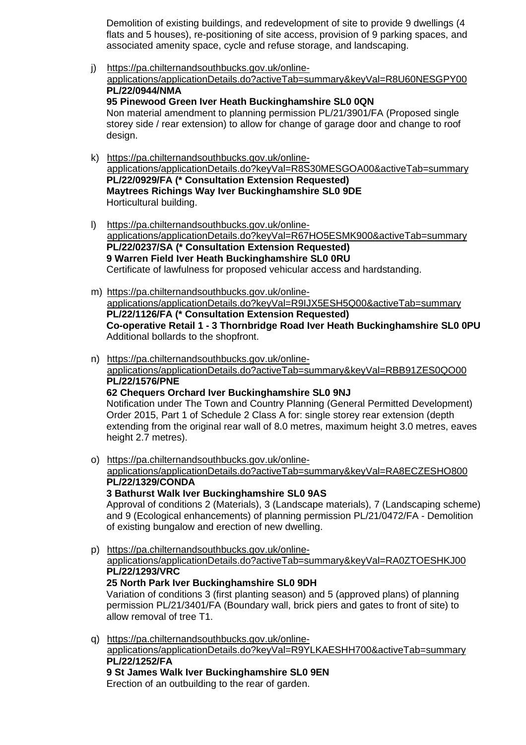Demolition of existing buildings, and redevelopment of site to provide 9 dwellings (4 flats and 5 houses), re-positioning of site access, provision of 9 parking spaces, and associated amenity space, cycle and refuse storage, and landscaping.

j) [https://pa.chilternandsouthbucks.gov.uk/online](https://pa.chilternandsouthbucks.gov.uk/online-applications/applicationDetails.do?activeTab=summary&keyVal=R8U60NESGPY00)[applications/applicationDetails.do?activeTab=summary&keyVal=R8U60NESGPY00](https://pa.chilternandsouthbucks.gov.uk/online-applications/applicationDetails.do?activeTab=summary&keyVal=R8U60NESGPY00) **PL/22/0944/NMA 95 Pinewood Green Iver Heath Buckinghamshire SL0 0QN** Non material amendment to planning permission PL/21/3901/FA (Proposed single

storey side / rear extension) to allow for change of garage door and change to roof design.

- k) [https://pa.chilternandsouthbucks.gov.uk/online](https://pa.chilternandsouthbucks.gov.uk/online-applications/applicationDetails.do?keyVal=R8S30MESGOA00&activeTab=summary)[applications/applicationDetails.do?keyVal=R8S30MESGOA00&activeTab=summary](https://pa.chilternandsouthbucks.gov.uk/online-applications/applicationDetails.do?keyVal=R8S30MESGOA00&activeTab=summary) **PL/22/0929/FA (\* Consultation Extension Requested) Maytrees Richings Way Iver Buckinghamshire SL0 9DE** Horticultural building.
- l) [https://pa.chilternandsouthbucks.gov.uk/online](https://pa.chilternandsouthbucks.gov.uk/online-applications/applicationDetails.do?keyVal=R67HO5ESMK900&activeTab=summary)[applications/applicationDetails.do?keyVal=R67HO5ESMK900&activeTab=summary](https://pa.chilternandsouthbucks.gov.uk/online-applications/applicationDetails.do?keyVal=R67HO5ESMK900&activeTab=summary) **PL/22/0237/SA (\* Consultation Extension Requested) 9 Warren Field Iver Heath Buckinghamshire SL0 0RU** Certificate of lawfulness for proposed vehicular access and hardstanding.
- m) [https://pa.chilternandsouthbucks.gov.uk/online](https://pa.chilternandsouthbucks.gov.uk/online-applications/applicationDetails.do?keyVal=R9IJX5ESH5Q00&activeTab=summary)[applications/applicationDetails.do?keyVal=R9IJX5ESH5Q00&activeTab=summary](https://pa.chilternandsouthbucks.gov.uk/online-applications/applicationDetails.do?keyVal=R9IJX5ESH5Q00&activeTab=summary) **PL/22/1126/FA (\* Consultation Extension Requested) Co-operative Retail 1 - 3 Thornbridge Road Iver Heath Buckinghamshire SL0 0PU** Additional bollards to the shopfront.
- n) [https://pa.chilternandsouthbucks.gov.uk/online](https://pa.chilternandsouthbucks.gov.uk/online-applications/applicationDetails.do?activeTab=summary&keyVal=RBB91ZES0QO00)[applications/applicationDetails.do?activeTab=summary&keyVal=RBB91ZES0QO00](https://pa.chilternandsouthbucks.gov.uk/online-applications/applicationDetails.do?activeTab=summary&keyVal=RBB91ZES0QO00) **PL/22/1576/PNE**

**62 Chequers Orchard Iver Buckinghamshire SL0 9NJ**

Notification under The Town and Country Planning (General Permitted Development) Order 2015, Part 1 of Schedule 2 Class A for: single storey rear extension (depth extending from the original rear wall of 8.0 metres, maximum height 3.0 metres, eaves height 2.7 metres).

- o) [https://pa.chilternandsouthbucks.gov.uk/online](https://pa.chilternandsouthbucks.gov.uk/online-applications/applicationDetails.do?activeTab=summary&keyVal=RA8ECZESHO800)
	- [applications/applicationDetails.do?activeTab=summary&keyVal=RA8ECZESHO800](https://pa.chilternandsouthbucks.gov.uk/online-applications/applicationDetails.do?activeTab=summary&keyVal=RA8ECZESHO800) **PL/22/1329/CONDA**

**3 Bathurst Walk Iver Buckinghamshire SL0 9AS**

Approval of conditions 2 (Materials), 3 (Landscape materials), 7 (Landscaping scheme) and 9 (Ecological enhancements) of planning permission PL/21/0472/FA - Demolition of existing bungalow and erection of new dwelling.

p) [https://pa.chilternandsouthbucks.gov.uk/online](https://pa.chilternandsouthbucks.gov.uk/online-applications/applicationDetails.do?activeTab=summary&keyVal=RA0ZTOESHKJ00)[applications/applicationDetails.do?activeTab=summary&keyVal=RA0ZTOESHKJ00](https://pa.chilternandsouthbucks.gov.uk/online-applications/applicationDetails.do?activeTab=summary&keyVal=RA0ZTOESHKJ00) **PL/22/1293/VRC 25 North Park Iver Buckinghamshire SL0 9DH**

Variation of conditions 3 (first planting season) and 5 (approved plans) of planning permission PL/21/3401/FA (Boundary wall, brick piers and gates to front of site) to allow removal of tree T1.

q) [https://pa.chilternandsouthbucks.gov.uk/online](https://pa.chilternandsouthbucks.gov.uk/online-applications/applicationDetails.do?keyVal=R9YLKAESHH700&activeTab=summary)[applications/applicationDetails.do?keyVal=R9YLKAESHH700&activeTab=summary](https://pa.chilternandsouthbucks.gov.uk/online-applications/applicationDetails.do?keyVal=R9YLKAESHH700&activeTab=summary) **PL/22/1252/FA 9 St James Walk Iver Buckinghamshire SL0 9EN**

Erection of an outbuilding to the rear of garden.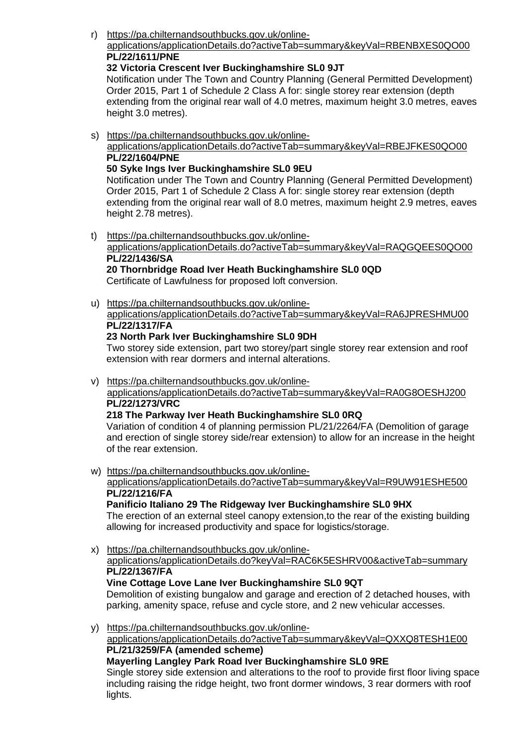r) [https://pa.chilternandsouthbucks.gov.uk/online-](https://pa.chilternandsouthbucks.gov.uk/online-applications/applicationDetails.do?activeTab=summary&keyVal=RBENBXES0QO00)

#### [applications/applicationDetails.do?activeTab=summary&keyVal=RBENBXES0QO00](https://pa.chilternandsouthbucks.gov.uk/online-applications/applicationDetails.do?activeTab=summary&keyVal=RBENBXES0QO00) **PL/22/1611/PNE**

### **32 Victoria Crescent Iver Buckinghamshire SL0 9JT**

Notification under The Town and Country Planning (General Permitted Development) Order 2015, Part 1 of Schedule 2 Class A for: single storey rear extension (depth extending from the original rear wall of 4.0 metres, maximum height 3.0 metres, eaves height 3.0 metres).

s) [https://pa.chilternandsouthbucks.gov.uk/online](https://pa.chilternandsouthbucks.gov.uk/online-applications/applicationDetails.do?activeTab=summary&keyVal=RBEJFKES0QO00)[applications/applicationDetails.do?activeTab=summary&keyVal=RBEJFKES0QO00](https://pa.chilternandsouthbucks.gov.uk/online-applications/applicationDetails.do?activeTab=summary&keyVal=RBEJFKES0QO00) **PL/22/1604/PNE**

## **50 Syke Ings Iver Buckinghamshire SL0 9EU**

Notification under The Town and Country Planning (General Permitted Development) Order 2015, Part 1 of Schedule 2 Class A for: single storey rear extension (depth extending from the original rear wall of 8.0 metres, maximum height 2.9 metres, eaves height 2.78 metres).

t) [https://pa.chilternandsouthbucks.gov.uk/online](https://pa.chilternandsouthbucks.gov.uk/online-applications/applicationDetails.do?activeTab=summary&keyVal=RAQGQEES0QO00)[applications/applicationDetails.do?activeTab=summary&keyVal=RAQGQEES0QO00](https://pa.chilternandsouthbucks.gov.uk/online-applications/applicationDetails.do?activeTab=summary&keyVal=RAQGQEES0QO00)

#### **PL/22/1436/SA 20 Thornbridge Road Iver Heath Buckinghamshire SL0 0QD**

Certificate of Lawfulness for proposed loft conversion.

u) [https://pa.chilternandsouthbucks.gov.uk/online](https://pa.chilternandsouthbucks.gov.uk/online-applications/applicationDetails.do?activeTab=summary&keyVal=RA6JPRESHMU00)[applications/applicationDetails.do?activeTab=summary&keyVal=RA6JPRESHMU00](https://pa.chilternandsouthbucks.gov.uk/online-applications/applicationDetails.do?activeTab=summary&keyVal=RA6JPRESHMU00) **PL/22/1317/FA**

# **23 North Park Iver Buckinghamshire SL0 9DH**

Two storey side extension, part two storey/part single storey rear extension and roof extension with rear dormers and internal alterations.

v) [https://pa.chilternandsouthbucks.gov.uk/online-](https://pa.chilternandsouthbucks.gov.uk/online-applications/applicationDetails.do?activeTab=summary&keyVal=RA0G8OESHJ200)

[applications/applicationDetails.do?activeTab=summary&keyVal=RA0G8OESHJ200](https://pa.chilternandsouthbucks.gov.uk/online-applications/applicationDetails.do?activeTab=summary&keyVal=RA0G8OESHJ200) **PL/22/1273/VRC**

## **218 The Parkway Iver Heath Buckinghamshire SL0 0RQ**

Variation of condition 4 of planning permission PL/21/2264/FA (Demolition of garage and erection of single storey side/rear extension) to allow for an increase in the height of the rear extension.

w) [https://pa.chilternandsouthbucks.gov.uk/online-](https://pa.chilternandsouthbucks.gov.uk/online-applications/applicationDetails.do?activeTab=summary&keyVal=R9UW91ESHE500)

## [applications/applicationDetails.do?activeTab=summary&keyVal=R9UW91ESHE500](https://pa.chilternandsouthbucks.gov.uk/online-applications/applicationDetails.do?activeTab=summary&keyVal=R9UW91ESHE500) **PL/22/1216/FA**

## **Panificio Italiano 29 The Ridgeway Iver Buckinghamshire SL0 9HX**

The erection of an external steel canopy extension,to the rear of the existing building allowing for increased productivity and space for logistics/storage.

x) [https://pa.chilternandsouthbucks.gov.uk/online-](https://pa.chilternandsouthbucks.gov.uk/online-applications/applicationDetails.do?keyVal=RAC6K5ESHRV00&activeTab=summary)

## [applications/applicationDetails.do?keyVal=RAC6K5ESHRV00&activeTab=summary](https://pa.chilternandsouthbucks.gov.uk/online-applications/applicationDetails.do?keyVal=RAC6K5ESHRV00&activeTab=summary) **PL/22/1367/FA**

# **Vine Cottage Love Lane Iver Buckinghamshire SL0 9QT**

Demolition of existing bungalow and garage and erection of 2 detached houses, with parking, amenity space, refuse and cycle store, and 2 new vehicular accesses.

y) [https://pa.chilternandsouthbucks.gov.uk/online-](https://pa.chilternandsouthbucks.gov.uk/online-applications/applicationDetails.do?activeTab=summary&keyVal=QXXQ8TESH1E00)

[applications/applicationDetails.do?activeTab=summary&keyVal=QXXQ8TESH1E00](https://pa.chilternandsouthbucks.gov.uk/online-applications/applicationDetails.do?activeTab=summary&keyVal=QXXQ8TESH1E00) **PL/21/3259/FA (amended scheme)**

**Mayerling Langley Park Road Iver Buckinghamshire SL0 9RE**

Single storey side extension and alterations to the roof to provide first floor living space including raising the ridge height, two front dormer windows, 3 rear dormers with roof lights.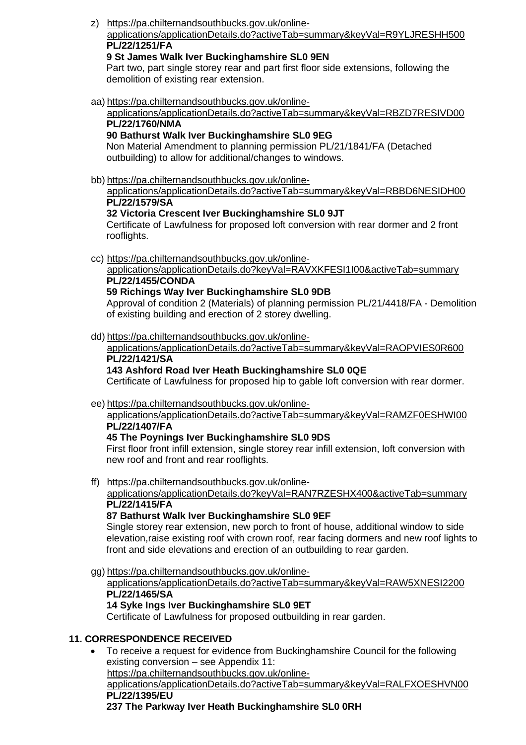z) [https://pa.chilternandsouthbucks.gov.uk/online-](https://pa.chilternandsouthbucks.gov.uk/online-applications/applicationDetails.do?activeTab=summary&keyVal=R9YLJRESHH500)

## [applications/applicationDetails.do?activeTab=summary&keyVal=R9YLJRESHH500](https://pa.chilternandsouthbucks.gov.uk/online-applications/applicationDetails.do?activeTab=summary&keyVal=R9YLJRESHH500) **PL/22/1251/FA**

## **9 St James Walk Iver Buckinghamshire SL0 9EN**

Part two, part single storey rear and part first floor side extensions, following the demolition of existing rear extension.

aa) [https://pa.chilternandsouthbucks.gov.uk/online-](https://pa.chilternandsouthbucks.gov.uk/online-applications/applicationDetails.do?activeTab=summary&keyVal=RBZD7RESIVD00)

#### [applications/applicationDetails.do?activeTab=summary&keyVal=RBZD7RESIVD00](https://pa.chilternandsouthbucks.gov.uk/online-applications/applicationDetails.do?activeTab=summary&keyVal=RBZD7RESIVD00) **PL/22/1760/NMA**

## **90 Bathurst Walk Iver Buckinghamshire SL0 9EG**

Non Material Amendment to planning permission PL/21/1841/FA (Detached outbuilding) to allow for additional/changes to windows.

bb) [https://pa.chilternandsouthbucks.gov.uk/online-](https://pa.chilternandsouthbucks.gov.uk/online-applications/applicationDetails.do?activeTab=summary&keyVal=RBBD6NESIDH00)

[applications/applicationDetails.do?activeTab=summary&keyVal=RBBD6NESIDH00](https://pa.chilternandsouthbucks.gov.uk/online-applications/applicationDetails.do?activeTab=summary&keyVal=RBBD6NESIDH00) **PL/22/1579/SA**

# **32 Victoria Crescent Iver Buckinghamshire SL0 9JT**

Certificate of Lawfulness for proposed loft conversion with rear dormer and 2 front rooflights.

cc) [https://pa.chilternandsouthbucks.gov.uk/online-](https://pa.chilternandsouthbucks.gov.uk/online-applications/applicationDetails.do?keyVal=RAVXKFESI1I00&activeTab=summary)

[applications/applicationDetails.do?keyVal=RAVXKFESI1I00&activeTab=summary](https://pa.chilternandsouthbucks.gov.uk/online-applications/applicationDetails.do?keyVal=RAVXKFESI1I00&activeTab=summary) **PL/22/1455/CONDA**

# **59 Richings Way Iver Buckinghamshire SL0 9DB**

Approval of condition 2 (Materials) of planning permission PL/21/4418/FA - Demolition of existing building and erection of 2 storey dwelling.

dd) [https://pa.chilternandsouthbucks.gov.uk/online-](https://pa.chilternandsouthbucks.gov.uk/online-applications/applicationDetails.do?activeTab=summary&keyVal=RAOPVIES0R600)

[applications/applicationDetails.do?activeTab=summary&keyVal=RAOPVIES0R600](https://pa.chilternandsouthbucks.gov.uk/online-applications/applicationDetails.do?activeTab=summary&keyVal=RAOPVIES0R600) **PL/22/1421/SA**

# **143 Ashford Road Iver Heath Buckinghamshire SL0 0QE**

Certificate of Lawfulness for proposed hip to gable loft conversion with rear dormer.

## ee) [https://pa.chilternandsouthbucks.gov.uk/online-](https://pa.chilternandsouthbucks.gov.uk/online-applications/applicationDetails.do?activeTab=summary&keyVal=RAMZF0ESHWI00)

#### [applications/applicationDetails.do?activeTab=summary&keyVal=RAMZF0ESHWI00](https://pa.chilternandsouthbucks.gov.uk/online-applications/applicationDetails.do?activeTab=summary&keyVal=RAMZF0ESHWI00) **PL/22/1407/FA**

## **45 The Poynings Iver Buckinghamshire SL0 9DS**

First floor front infill extension, single storey rear infill extension, loft conversion with new roof and front and rear rooflights.

ff) [https://pa.chilternandsouthbucks.gov.uk/online-](https://pa.chilternandsouthbucks.gov.uk/online-applications/applicationDetails.do?keyVal=RAN7RZESHX400&activeTab=summary)

#### [applications/applicationDetails.do?keyVal=RAN7RZESHX400&activeTab=summary](https://pa.chilternandsouthbucks.gov.uk/online-applications/applicationDetails.do?keyVal=RAN7RZESHX400&activeTab=summary) **PL/22/1415/FA**

## **87 Bathurst Walk Iver Buckinghamshire SL0 9EF**

Single storey rear extension, new porch to front of house, additional window to side elevation,raise existing roof with crown roof, rear facing dormers and new roof lights to front and side elevations and erection of an outbuilding to rear garden.

gg) [https://pa.chilternandsouthbucks.gov.uk/online](https://pa.chilternandsouthbucks.gov.uk/online-applications/applicationDetails.do?activeTab=summary&keyVal=RAW5XNESI2200)[applications/applicationDetails.do?activeTab=summary&keyVal=RAW5XNESI2200](https://pa.chilternandsouthbucks.gov.uk/online-applications/applicationDetails.do?activeTab=summary&keyVal=RAW5XNESI2200) **PL/22/1465/SA 14 Syke Ings Iver Buckinghamshire SL0 9ET** Certificate of Lawfulness for proposed outbuilding in rear garden.

## **11. CORRESPONDENCE RECEIVED**

• To receive a request for evidence from Buckinghamshire Council for the following existing conversion – see Appendix 11: [https://pa.chilternandsouthbucks.gov.uk/online](https://pa.chilternandsouthbucks.gov.uk/online-applications/applicationDetails.do?activeTab=summary&keyVal=RALFXOESHVN00)[applications/applicationDetails.do?activeTab=summary&keyVal=RALFXOESHVN00](https://pa.chilternandsouthbucks.gov.uk/online-applications/applicationDetails.do?activeTab=summary&keyVal=RALFXOESHVN00) **PL/22/1395/EU 237 The Parkway Iver Heath Buckinghamshire SL0 0RH**